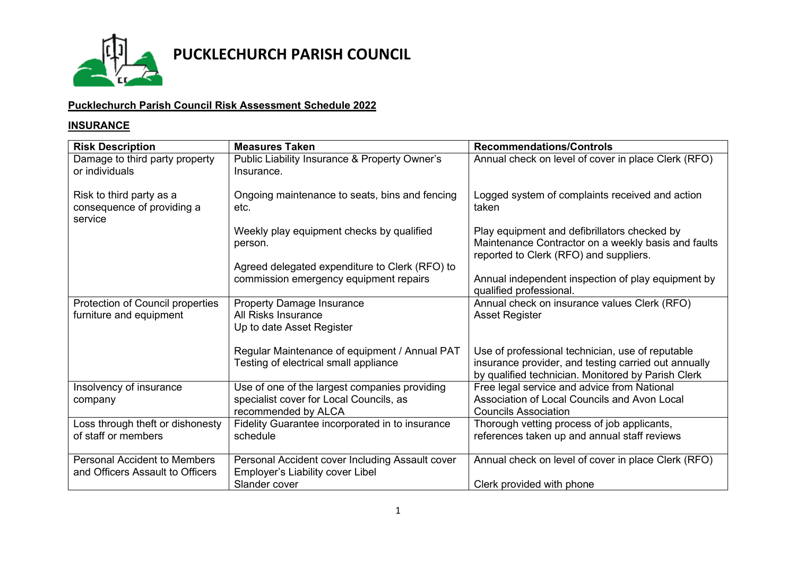

### **Pucklechurch Parish Council Risk Assessment Schedule 2022**

#### **INSURANCE**

| <b>Risk Description</b>                                                 | <b>Measures Taken</b>                                                                  | <b>Recommendations/Controls</b>                                                                                                                                |
|-------------------------------------------------------------------------|----------------------------------------------------------------------------------------|----------------------------------------------------------------------------------------------------------------------------------------------------------------|
| Damage to third party property<br>or individuals                        | Public Liability Insurance & Property Owner's<br>Insurance.                            | Annual check on level of cover in place Clerk (RFO)                                                                                                            |
| Risk to third party as a<br>consequence of providing a<br>service       | Ongoing maintenance to seats, bins and fencing<br>etc.                                 | Logged system of complaints received and action<br>taken                                                                                                       |
|                                                                         | Weekly play equipment checks by qualified<br>person.                                   | Play equipment and defibrillators checked by<br>Maintenance Contractor on a weekly basis and faults<br>reported to Clerk (RFO) and suppliers.                  |
|                                                                         | Agreed delegated expenditure to Clerk (RFO) to                                         |                                                                                                                                                                |
|                                                                         | commission emergency equipment repairs                                                 | Annual independent inspection of play equipment by<br>qualified professional.                                                                                  |
| Protection of Council properties<br>furniture and equipment             | <b>Property Damage Insurance</b><br>All Risks Insurance<br>Up to date Asset Register   | Annual check on insurance values Clerk (RFO)<br><b>Asset Register</b>                                                                                          |
|                                                                         | Regular Maintenance of equipment / Annual PAT<br>Testing of electrical small appliance | Use of professional technician, use of reputable<br>insurance provider, and testing carried out annually<br>by qualified technician. Monitored by Parish Clerk |
| Insolvency of insurance                                                 | Use of one of the largest companies providing                                          | Free legal service and advice from National                                                                                                                    |
| company                                                                 | specialist cover for Local Councils, as                                                | Association of Local Councils and Avon Local                                                                                                                   |
|                                                                         | recommended by ALCA                                                                    | <b>Councils Association</b>                                                                                                                                    |
| Loss through theft or dishonesty                                        | Fidelity Guarantee incorporated in to insurance                                        | Thorough vetting process of job applicants,                                                                                                                    |
| of staff or members                                                     | schedule                                                                               | references taken up and annual staff reviews                                                                                                                   |
| <b>Personal Accident to Members</b><br>and Officers Assault to Officers | Personal Accident cover Including Assault cover<br>Employer's Liability cover Libel    | Annual check on level of cover in place Clerk (RFO)                                                                                                            |
|                                                                         | Slander cover                                                                          | Clerk provided with phone                                                                                                                                      |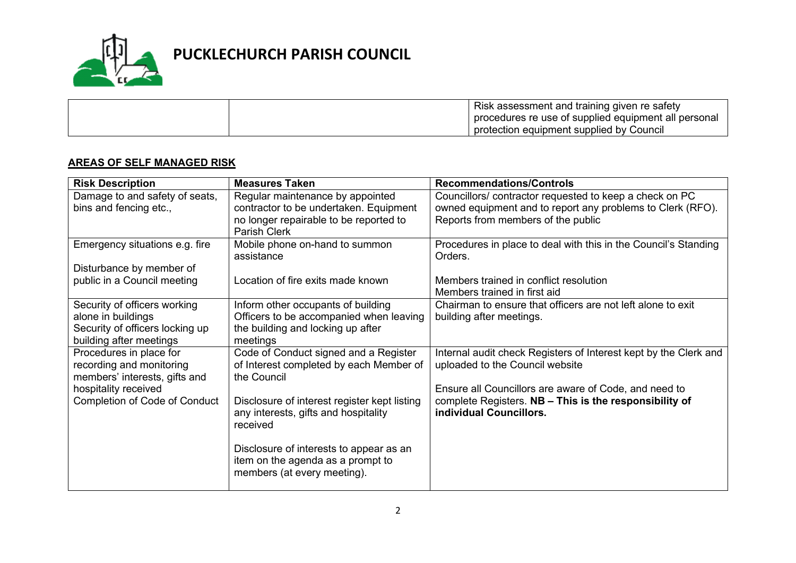

| Risk assessment and training given re safety         |
|------------------------------------------------------|
| procedures re use of supplied equipment all personal |
| protection equipment supplied by Council             |

#### **AREAS OF SELF MANAGED RISK**

| <b>Risk Description</b>                                                                                          | <b>Measures Taken</b>                                                                                                                | <b>Recommendations/Controls</b>                                                                                                                            |
|------------------------------------------------------------------------------------------------------------------|--------------------------------------------------------------------------------------------------------------------------------------|------------------------------------------------------------------------------------------------------------------------------------------------------------|
| Damage to and safety of seats,<br>bins and fencing etc.,                                                         | Regular maintenance by appointed<br>contractor to be undertaken. Equipment<br>no longer repairable to be reported to<br>Parish Clerk | Councillors/contractor requested to keep a check on PC<br>owned equipment and to report any problems to Clerk (RFO).<br>Reports from members of the public |
| Emergency situations e.g. fire                                                                                   | Mobile phone on-hand to summon<br>assistance                                                                                         | Procedures in place to deal with this in the Council's Standing<br>Orders.                                                                                 |
| Disturbance by member of<br>public in a Council meeting                                                          | Location of fire exits made known                                                                                                    | Members trained in conflict resolution<br>Members trained in first aid                                                                                     |
| Security of officers working<br>alone in buildings<br>Security of officers locking up<br>building after meetings | Inform other occupants of building<br>Officers to be accompanied when leaving<br>the building and locking up after<br>meetings       | Chairman to ensure that officers are not left alone to exit<br>building after meetings.                                                                    |
| Procedures in place for<br>recording and monitoring<br>members' interests, gifts and                             | Code of Conduct signed and a Register<br>of Interest completed by each Member of<br>the Council                                      | Internal audit check Registers of Interest kept by the Clerk and<br>uploaded to the Council website                                                        |
| hospitality received<br><b>Completion of Code of Conduct</b>                                                     | Disclosure of interest register kept listing<br>any interests, gifts and hospitality<br>received                                     | Ensure all Councillors are aware of Code, and need to<br>complete Registers. NB - This is the responsibility of<br>individual Councillors.                 |
|                                                                                                                  | Disclosure of interests to appear as an<br>item on the agenda as a prompt to<br>members (at every meeting).                          |                                                                                                                                                            |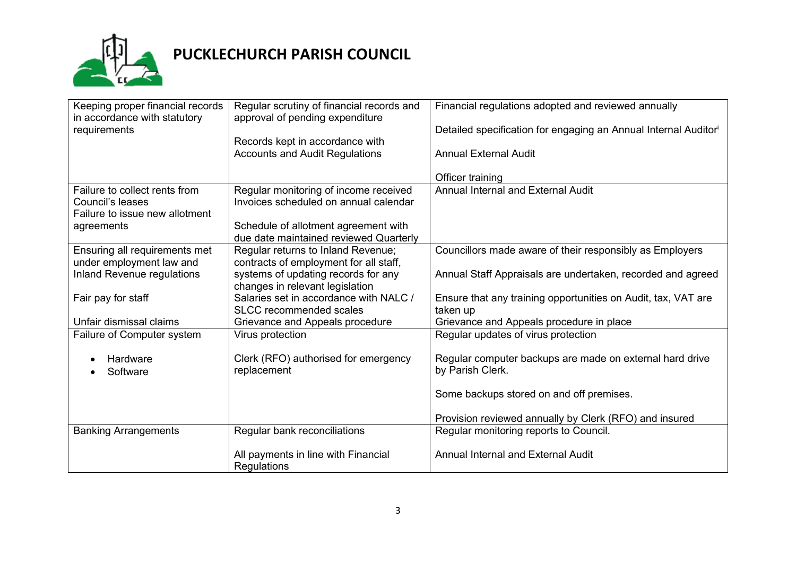

# **PUCKLECHURCH PARISH COUNCIL**

| Keeping proper financial records  | Regular scrutiny of financial records and | Financial regulations adopted and reviewed annually             |
|-----------------------------------|-------------------------------------------|-----------------------------------------------------------------|
|                                   |                                           |                                                                 |
| in accordance with statutory      | approval of pending expenditure           |                                                                 |
| requirements                      |                                           | Detailed specification for engaging an Annual Internal Auditori |
|                                   | Records kept in accordance with           |                                                                 |
|                                   | <b>Accounts and Audit Regulations</b>     | <b>Annual External Audit</b>                                    |
|                                   |                                           |                                                                 |
|                                   |                                           | Officer training                                                |
| Failure to collect rents from     | Regular monitoring of income received     | <b>Annual Internal and External Audit</b>                       |
| Council's leases                  | Invoices scheduled on annual calendar     |                                                                 |
| Failure to issue new allotment    |                                           |                                                                 |
| agreements                        | Schedule of allotment agreement with      |                                                                 |
|                                   | due date maintained reviewed Quarterly    |                                                                 |
| Ensuring all requirements met     | Regular returns to Inland Revenue;        | Councillors made aware of their responsibly as Employers        |
| under employment law and          | contracts of employment for all staff,    |                                                                 |
| <b>Inland Revenue regulations</b> | systems of updating records for any       | Annual Staff Appraisals are undertaken, recorded and agreed     |
|                                   | changes in relevant legislation           |                                                                 |
| Fair pay for staff                | Salaries set in accordance with NALC /    | Ensure that any training opportunities on Audit, tax, VAT are   |
|                                   | <b>SLCC</b> recommended scales            | taken up                                                        |
| Unfair dismissal claims           | Grievance and Appeals procedure           | Grievance and Appeals procedure in place                        |
| Failure of Computer system        | Virus protection                          | Regular updates of virus protection                             |
|                                   |                                           |                                                                 |
| Hardware                          | Clerk (RFO) authorised for emergency      | Regular computer backups are made on external hard drive        |
|                                   | replacement                               | by Parish Clerk.                                                |
| Software                          |                                           |                                                                 |
|                                   |                                           |                                                                 |
|                                   |                                           | Some backups stored on and off premises.                        |
|                                   |                                           |                                                                 |
|                                   |                                           | Provision reviewed annually by Clerk (RFO) and insured          |
| <b>Banking Arrangements</b>       | Regular bank reconciliations              | Regular monitoring reports to Council.                          |
|                                   |                                           |                                                                 |
|                                   | All payments in line with Financial       | Annual Internal and External Audit                              |
|                                   | Regulations                               |                                                                 |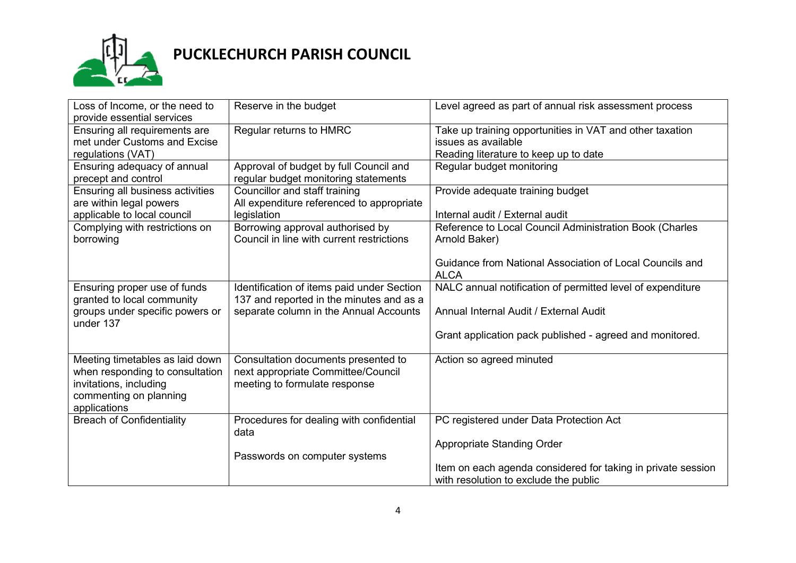

# **PUCKLECHURCH PARISH COUNCIL**

| Loss of Income, or the need to<br>provide essential services                                                                           | Reserve in the budget                                                                                                            | Level agreed as part of annual risk assessment process                                                                   |
|----------------------------------------------------------------------------------------------------------------------------------------|----------------------------------------------------------------------------------------------------------------------------------|--------------------------------------------------------------------------------------------------------------------------|
| Ensuring all requirements are<br>met under Customs and Excise<br>regulations (VAT)                                                     | Regular returns to HMRC                                                                                                          | Take up training opportunities in VAT and other taxation<br>issues as available<br>Reading literature to keep up to date |
| Ensuring adequacy of annual<br>precept and control                                                                                     | Approval of budget by full Council and<br>regular budget monitoring statements                                                   | Regular budget monitoring                                                                                                |
| Ensuring all business activities<br>are within legal powers<br>applicable to local council                                             | Councillor and staff training<br>All expenditure referenced to appropriate<br>legislation                                        | Provide adequate training budget<br>Internal audit / External audit                                                      |
| Complying with restrictions on<br>borrowing                                                                                            | Borrowing approval authorised by<br>Council in line with current restrictions                                                    | Reference to Local Council Administration Book (Charles<br>Arnold Baker)                                                 |
|                                                                                                                                        |                                                                                                                                  | Guidance from National Association of Local Councils and<br><b>ALCA</b>                                                  |
| Ensuring proper use of funds<br>granted to local community<br>groups under specific powers or<br>under 137                             | Identification of items paid under Section<br>137 and reported in the minutes and as a<br>separate column in the Annual Accounts | NALC annual notification of permitted level of expenditure<br>Annual Internal Audit / External Audit                     |
|                                                                                                                                        |                                                                                                                                  | Grant application pack published - agreed and monitored.                                                                 |
| Meeting timetables as laid down<br>when responding to consultation<br>invitations, including<br>commenting on planning<br>applications | Consultation documents presented to<br>next appropriate Committee/Council<br>meeting to formulate response                       | Action so agreed minuted                                                                                                 |
| <b>Breach of Confidentiality</b>                                                                                                       | Procedures for dealing with confidential<br>data                                                                                 | PC registered under Data Protection Act                                                                                  |
|                                                                                                                                        | Passwords on computer systems                                                                                                    | Appropriate Standing Order                                                                                               |
|                                                                                                                                        |                                                                                                                                  | Item on each agenda considered for taking in private session<br>with resolution to exclude the public                    |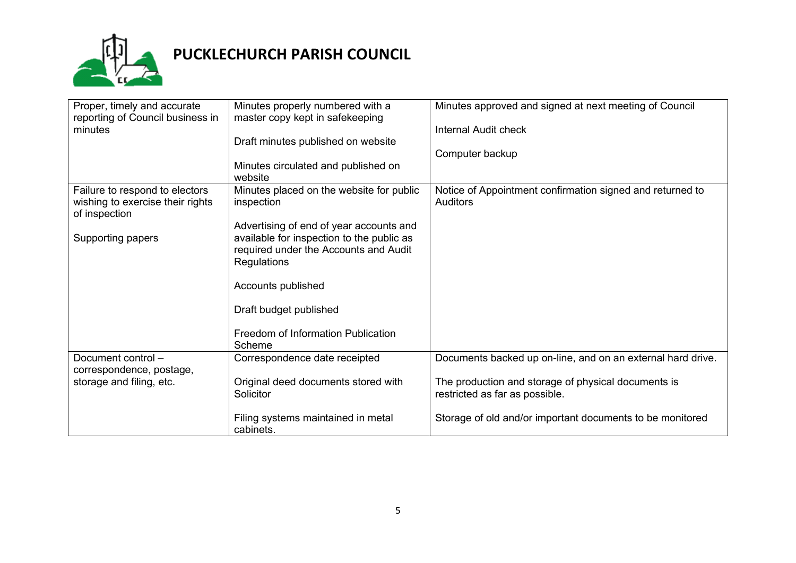

# **PUCKLECHURCH PARISH COUNCIL**

| Proper, timely and accurate<br>reporting of Council business in | Minutes properly numbered with a<br>master copy kept in safekeeping | Minutes approved and signed at next meeting of Council      |
|-----------------------------------------------------------------|---------------------------------------------------------------------|-------------------------------------------------------------|
| minutes                                                         |                                                                     | Internal Audit check                                        |
|                                                                 | Draft minutes published on website                                  |                                                             |
|                                                                 |                                                                     | Computer backup                                             |
|                                                                 | Minutes circulated and published on<br>website                      |                                                             |
| Failure to respond to electors                                  | Minutes placed on the website for public                            | Notice of Appointment confirmation signed and returned to   |
| wishing to exercise their rights                                | inspection                                                          | <b>Auditors</b>                                             |
| of inspection                                                   |                                                                     |                                                             |
|                                                                 | Advertising of end of year accounts and                             |                                                             |
| Supporting papers                                               | available for inspection to the public as                           |                                                             |
|                                                                 | required under the Accounts and Audit                               |                                                             |
|                                                                 | Regulations                                                         |                                                             |
|                                                                 | Accounts published                                                  |                                                             |
|                                                                 | Draft budget published                                              |                                                             |
|                                                                 | Freedom of Information Publication                                  |                                                             |
|                                                                 | Scheme                                                              |                                                             |
| Document control -                                              | Correspondence date receipted                                       | Documents backed up on-line, and on an external hard drive. |
| correspondence, postage,                                        |                                                                     |                                                             |
| storage and filing, etc.                                        | Original deed documents stored with                                 | The production and storage of physical documents is         |
|                                                                 | Solicitor                                                           | restricted as far as possible.                              |
|                                                                 |                                                                     |                                                             |
|                                                                 | Filing systems maintained in metal<br>cabinets.                     | Storage of old and/or important documents to be monitored   |